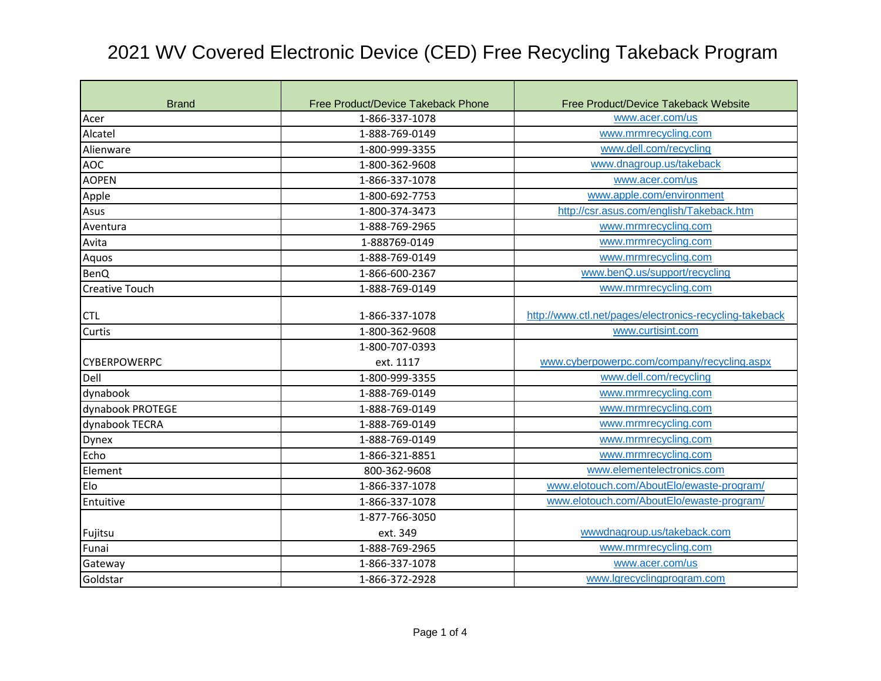| <b>Brand</b>          | Free Product/Device Takeback Phone | Free Product/Device Takeback Website                    |
|-----------------------|------------------------------------|---------------------------------------------------------|
| Acer                  | 1-866-337-1078                     | www.acer.com/us                                         |
| Alcatel               | 1-888-769-0149                     | www.mrmrecycling.com                                    |
| Alienware             | 1-800-999-3355                     | www.dell.com/recycling                                  |
| <b>AOC</b>            | 1-800-362-9608                     | www.dnagroup.us/takeback                                |
| <b>AOPEN</b>          | 1-866-337-1078                     | www.acer.com/us                                         |
| Apple                 | 1-800-692-7753                     | www.apple.com/environment                               |
| Asus                  | 1-800-374-3473                     | http://csr.asus.com/english/Takeback.htm                |
| Aventura              | 1-888-769-2965                     | www.mrmrecycling.com                                    |
| Avita                 | 1-888769-0149                      | www.mrmrecycling.com                                    |
| Aquos                 | 1-888-769-0149                     | www.mrmrecycling.com                                    |
| <b>BenQ</b>           | 1-866-600-2367                     | www.benQ.us/support/recycling                           |
| <b>Creative Touch</b> | 1-888-769-0149                     | www.mrmrecycling.com                                    |
|                       |                                    | http://www.ctl.net/pages/electronics-recycling-takeback |
| <b>CTL</b>            | 1-866-337-1078                     |                                                         |
| Curtis                | 1-800-362-9608                     | www.curtisint.com                                       |
|                       | 1-800-707-0393                     |                                                         |
| <b>CYBERPOWERPC</b>   | ext. 1117                          | www.cyberpowerpc.com/company/recycling.aspx             |
| Dell                  | 1-800-999-3355                     | www.dell.com/recycling                                  |
| dynabook              | 1-888-769-0149                     | www.mrmrecycling.com                                    |
| dynabook PROTEGE      | 1-888-769-0149                     | www.mrmrecycling.com                                    |
| dynabook TECRA        | 1-888-769-0149                     | www.mrmrecycling.com                                    |
| <b>Dynex</b>          | 1-888-769-0149                     | www.mrmrecycling.com                                    |
| Echo                  | 1-866-321-8851                     | www.mrmrecycling.com                                    |
| Element               | 800-362-9608                       | www.elementelectronics.com                              |
| Elo                   | 1-866-337-1078                     | www.elotouch.com/AboutElo/ewaste-program/               |
| Entuitive             | 1-866-337-1078                     | www.elotouch.com/AboutElo/ewaste-program/               |
|                       | 1-877-766-3050                     |                                                         |
| Fujitsu               | ext. 349                           | wwwdnagroup.us/takeback.com                             |
| Funai                 | 1-888-769-2965                     | www.mrmrecycling.com                                    |
| Gateway               | 1-866-337-1078                     | www.acer.com/us                                         |
| Goldstar              | 1-866-372-2928                     | www.lgrecyclingprogram.com                              |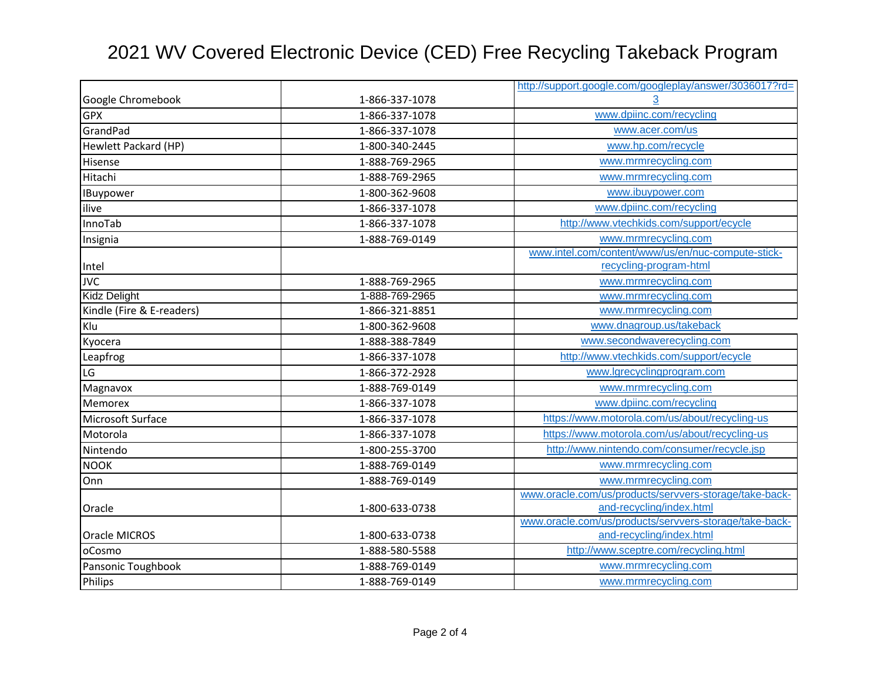|                             |                | http://support.google.com/googleplay/answer/3036017?rd= |
|-----------------------------|----------------|---------------------------------------------------------|
| Google Chromebook           | 1-866-337-1078 |                                                         |
| <b>GPX</b>                  | 1-866-337-1078 | www.dpiinc.com/recycling                                |
| GrandPad                    | 1-866-337-1078 | www.acer.com/us                                         |
| <b>Hewlett Packard (HP)</b> | 1-800-340-2445 | www.hp.com/recycle                                      |
| Hisense                     | 1-888-769-2965 | www.mrmrecycling.com                                    |
| Hitachi                     | 1-888-769-2965 | www.mrmrecycling.com                                    |
| IBuypower                   | 1-800-362-9608 | www.ibuypower.com                                       |
| ilive                       | 1-866-337-1078 | www.dpiinc.com/recycling                                |
| InnoTab                     | 1-866-337-1078 | http://www.vtechkids.com/support/ecycle                 |
| Insignia                    | 1-888-769-0149 | www.mrmrecycling.com                                    |
|                             |                | www.intel.com/content/www/us/en/nuc-compute-stick-      |
| Intel                       |                | recycling-program-html                                  |
| <b>JVC</b>                  | 1-888-769-2965 | www.mrmrecycling.com                                    |
| <b>Kidz Delight</b>         | 1-888-769-2965 | www.mrmrecycling.com                                    |
| Kindle (Fire & E-readers)   | 1-866-321-8851 | www.mrmrecycling.com                                    |
| Klu                         | 1-800-362-9608 | www.dnagroup.us/takeback                                |
| Kyocera                     | 1-888-388-7849 | www.secondwaverecycling.com                             |
| Leapfrog                    | 1-866-337-1078 | http://www.vtechkids.com/support/ecycle                 |
| LG                          | 1-866-372-2928 | www.lgrecyclingprogram.com                              |
| Magnavox                    | 1-888-769-0149 | www.mrmrecycling.com                                    |
| Memorex                     | 1-866-337-1078 | www.dpiinc.com/recycling                                |
| Microsoft Surface           | 1-866-337-1078 | https://www.motorola.com/us/about/recycling-us          |
| Motorola                    | 1-866-337-1078 | https://www.motorola.com/us/about/recycling-us          |
| Nintendo                    | 1-800-255-3700 | http://www.nintendo.com/consumer/recycle.jsp            |
| <b>NOOK</b>                 | 1-888-769-0149 | www.mrmrecycling.com                                    |
| Onn                         | 1-888-769-0149 | www.mrmrecycling.com                                    |
|                             |                | www.oracle.com/us/products/servvers-storage/take-back-  |
| Oracle                      | 1-800-633-0738 | and-recycling/index.html                                |
|                             |                | www.oracle.com/us/products/servvers-storage/take-back-  |
| Oracle MICROS               | 1-800-633-0738 | and-recycling/index.html                                |
| oCosmo                      | 1-888-580-5588 | http://www.sceptre.com/recycling.html                   |
| Pansonic Toughbook          | 1-888-769-0149 | www.mrmrecycling.com                                    |
| <b>Philips</b>              | 1-888-769-0149 | www.mrmrecycling.com                                    |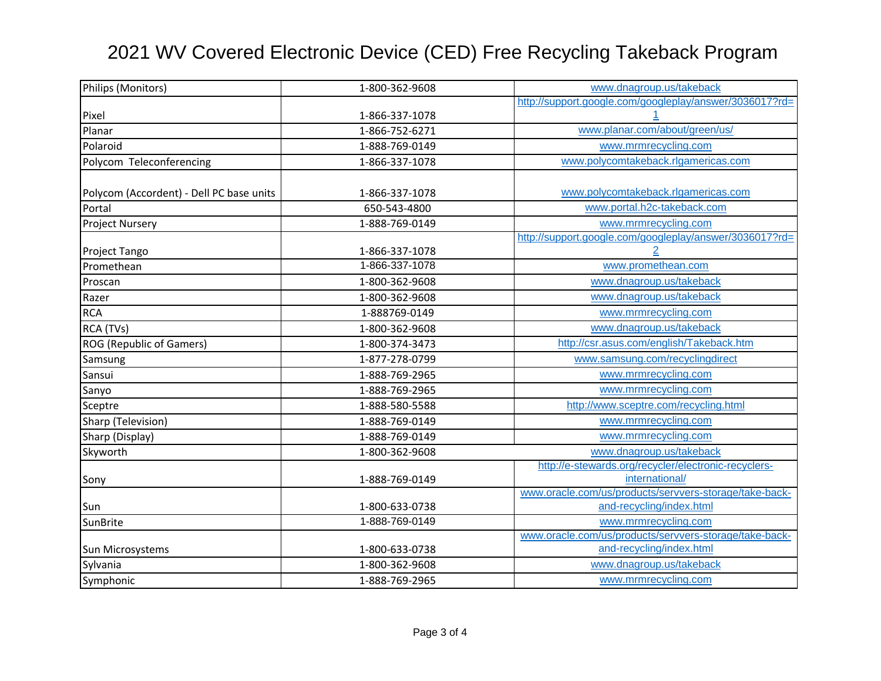| Philips (Monitors)                       | 1-800-362-9608 | www.dnagroup.us/takeback                                |
|------------------------------------------|----------------|---------------------------------------------------------|
|                                          |                | http://support.google.com/googleplay/answer/3036017?rd= |
| Pixel                                    | 1-866-337-1078 |                                                         |
| Planar                                   | 1-866-752-6271 | www.planar.com/about/green/us/                          |
| Polaroid                                 | 1-888-769-0149 | www.mrmrecycling.com                                    |
| Polycom Teleconferencing                 | 1-866-337-1078 | www.polycomtakeback.rlgamericas.com                     |
|                                          |                |                                                         |
| Polycom (Accordent) - Dell PC base units | 1-866-337-1078 | www.polycomtakeback.rlgamericas.com                     |
| Portal                                   | 650-543-4800   | www.portal.h2c-takeback.com                             |
| <b>Project Nursery</b>                   | 1-888-769-0149 | www.mrmrecycling.com                                    |
|                                          |                | http://support.google.com/googleplay/answer/3036017?rd= |
| Project Tango                            | 1-866-337-1078 |                                                         |
| Promethean                               | 1-866-337-1078 | www.promethean.com                                      |
| Proscan                                  | 1-800-362-9608 | www.dnagroup.us/takeback                                |
| Razer                                    | 1-800-362-9608 | www.dnagroup.us/takeback                                |
| <b>RCA</b>                               | 1-888769-0149  | www.mrmrecycling.com                                    |
| RCA (TVs)                                | 1-800-362-9608 | www.dnagroup.us/takeback                                |
| <b>ROG (Republic of Gamers)</b>          | 1-800-374-3473 | http://csr.asus.com/english/Takeback.htm                |
| Samsung                                  | 1-877-278-0799 | www.samsung.com/recyclingdirect                         |
| Sansui                                   | 1-888-769-2965 | www.mrmrecycling.com                                    |
| Sanyo                                    | 1-888-769-2965 | www.mrmrecycling.com                                    |
| Sceptre                                  | 1-888-580-5588 | http://www.sceptre.com/recycling.html                   |
| Sharp (Television)                       | 1-888-769-0149 | www.mrmrecycling.com                                    |
| Sharp (Display)                          | 1-888-769-0149 | www.mrmrecycling.com                                    |
| Skyworth                                 | 1-800-362-9608 | www.dnagroup.us/takeback                                |
|                                          |                | http://e-stewards.org/recycler/electronic-recyclers-    |
| Sony                                     | 1-888-769-0149 | international/                                          |
|                                          |                | www.oracle.com/us/products/servvers-storage/take-back-  |
| Sun                                      | 1-800-633-0738 | and-recycling/index.html                                |
| SunBrite                                 | 1-888-769-0149 | www.mrmrecycling.com                                    |
|                                          |                | www.oracle.com/us/products/servvers-storage/take-back-  |
| Sun Microsystems                         | 1-800-633-0738 | and-recycling/index.html                                |
| Sylvania                                 | 1-800-362-9608 | www.dnagroup.us/takeback                                |
| Symphonic                                | 1-888-769-2965 | www.mrmrecycling.com                                    |